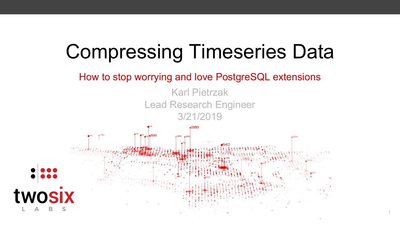# Compressing Timeseries Data

#### How to stop worrying and love PostgreSQL extensions

Karl Pietrzak Lead Research Engineer 3/21/2019

1

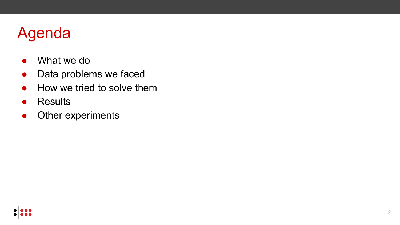## Agenda

- What we do
- Data problems we faced
- How we tried to solve them
- Results
- Other experiments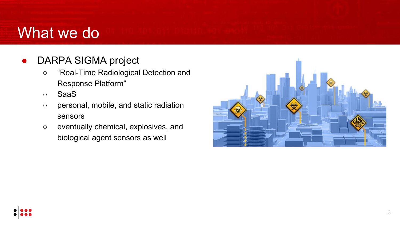### What we do

- DARPA SIGMA project
	- "Real-Time Radiological Detection and Response Platform"
	- SaaS
	- personal, mobile, and static radiation sensors
	- eventually chemical, explosives, and biological agent sensors as well

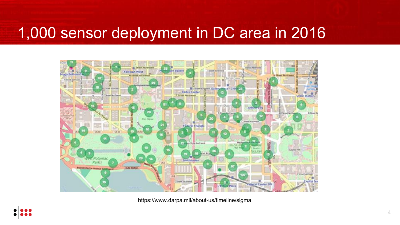### 1,000 sensor deployment in DC area in 2016



https://www.darpa.mil/about-us/timeline/sigma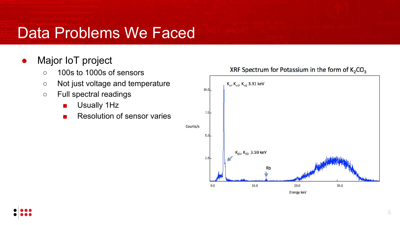#### • Major IoT project

- 100s to 1000s of sensors
- Not just voltage and temperature
- Full spectral readings
	- Usually 1Hz
	- Resolution of sensor varies

Counts/s

#### $K_{\alpha}$ ,  $K_{\alpha 1}$ ,  $K_{\alpha 2}$  3.31 keV  $10.0<sub>l</sub>$  $7.5$  $5.0$  $K_{61}$ ,  $K_{63}$  3.59 keV  $2.5$ Rb  $10.0$  $20.0$  $0.0$ 30.0

**Energy keV** 

#### XRF Spectrum for Potassium in the form of  $K_2CO_3$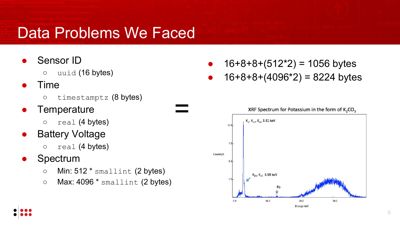- Sensor ID
	- uuid (16 bytes)
- **Time** 
	- timestamptz (8 bytes)
- **Temperature** 
	- $\circ$  real (4 bytes)
- Battery Voltage
	- $\circ$  real (4 bytes)
- **Spectrum** 
	- Min: 512 \* smallint (2 bytes)
	- Max: 4096 \* smallint (2 bytes)

=

- $16+8+8+(512^*2) = 1056$  bytes
- $16+8+8+(4096^*2) = 8224$  bytes

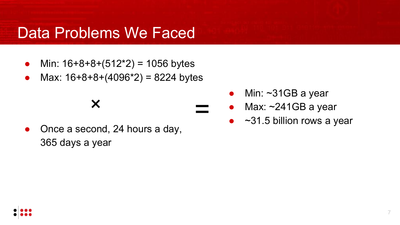- Min:  $16+8+8+(512^*2) = 1056$  bytes
- Max:  $16+8+8+(4096*2) = 8224$  bytes
	- ×
- Once a second, 24 hours a day, 365 days a year

• Min:  $\sim$ 31GB a year

=

- Max:  $\sim$ 241GB a year
- $\sim$ 31.5 billion rows a year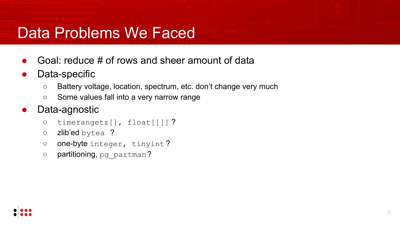- Goal: reduce  $\#$  of rows and sheer amount of data
- Data-specific
	- Battery voltage, location, spectrum, etc. don't change very much
	- Some values fall into a very narrow range
- Data-agnostic
	- timerangetz[], float[][] ?
	- zlib'ed bytea ?
	- one-byte integer, tinyint ?
	- o partitioning, pg partman?

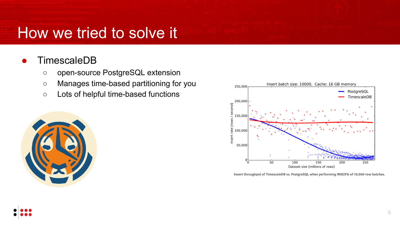#### **TimescaleDB**

- open-source PostgreSQL extension
- Manages time-based partitioning for you
- Lots of helpful time-based functions





Insert throughput of TimescaleDB vs. PostgreSQL when performing INSERTs of 10,000-row batches.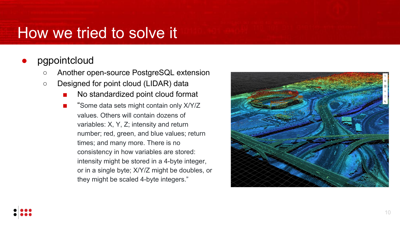#### pgpointcloud

- Another open-source PostgreSQL extension
- Designed for point cloud (LIDAR) data
	- No standardized point cloud format
	- "Some data sets might contain only X/Y/Z values. Others will contain dozens of variables: X, Y, Z; intensity and return number; red, green, and blue values; return times; and many more. There is no consistency in how variables are stored: intensity might be stored in a 4-byte integer, or in a single byte; X/Y/Z might be doubles, or they might be scaled 4-byte integers."

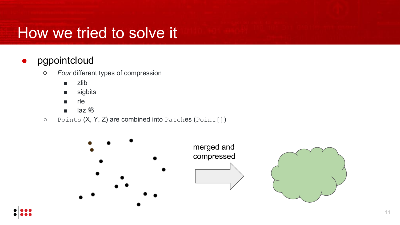### ● pgpointcloud

- *○ Four* different types of compression
	- zlib
	- sigbits
	- rle
	- laz
- Points (X, Y, Z) are combined into Patches (Point[])

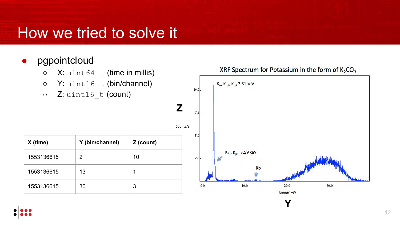#### ● pgpointcloud

- $\circ$  X: uint64 t (time in millis)
- Y: uint16\_t (bin/channel)
- Z: uint16\_t (count)

|     |          | 10.0     | $K_{\alpha}$ , $K_{\alpha 1}$ , $K_{\alpha 2}$ 3.31 keV |                                              |                    |          |  |
|-----|----------|----------|---------------------------------------------------------|----------------------------------------------|--------------------|----------|--|
|     | Z        | 7.5      |                                                         |                                              |                    |          |  |
| าt) | Counts/s | 5.0      |                                                         |                                              |                    |          |  |
|     |          | 2.5      |                                                         | $\rm K_{\beta1}$ , $\rm K_{\beta3}$ 3.59 keV |                    |          |  |
|     |          | $_{0.0}$ |                                                         | Rb<br>10.0                                   | 20.0<br>Energy keV | $30.0\,$ |  |
|     |          |          |                                                         |                                              |                    |          |  |

 $\mathbf{r}$ 

 $\mathbf{u}$  and  $\mathbf{u}$ 

**Y**

XRF Spectrum for Potassium in the form of K<sub>2</sub>CO<sub>3</sub>

| X (time)   | Y (bin/channel) | Z (count) |  |
|------------|-----------------|-----------|--|
| 1553136615 | 2               | 10        |  |
| 1553136615 | 13              | 1         |  |
| 1553136615 | 30              | 3         |  |

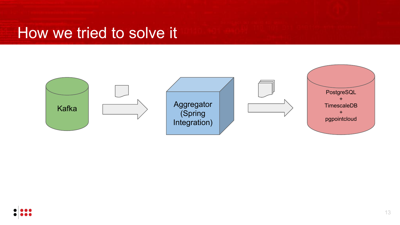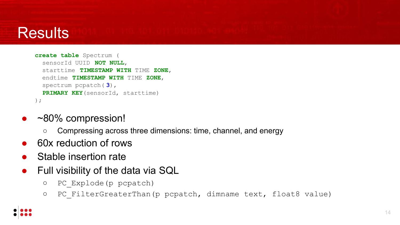### **Results**

```
create table Spectrum (
   sensorId UUID NOT NULL, 
   starttime TIMESTAMP WITH TIME ZONE,
   endtime TIMESTAMP WITH TIME ZONE, 
   spectrum pcpatch( 3),
   PRIMARY KEY(sensorId, starttime)
);
```
- ~80% compression!
	- Compressing across three dimensions: time, channel, and energy
- 60x reduction of rows
- Stable insertion rate
- Full visibility of the data via SQL
	- PC\_Explode(p pcpatch)
	- PC\_FilterGreaterThan(p pcpatch, dimname text, float8 value)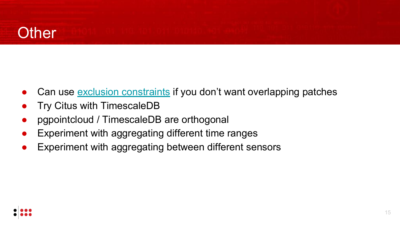### **Other**

- Can use [exclusion constraints](https://www.citusdata.com/blog/2018/03/19/postgres-database-constraints/) if you don't want overlapping patches
- **•** Try Citus with TimescaleDB
- pgpointcloud / TimescaleDB are orthogonal
- Experiment with aggregating different time ranges
- Experiment with aggregating between different sensors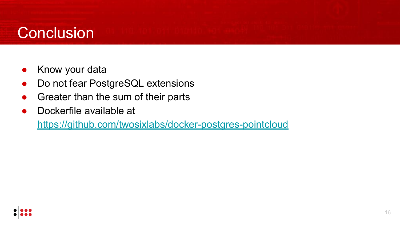### **Conclusion**

- Know your data
- Do not fear PostgreSQL extensions
- Greater than the sum of their parts
- Dockerfile available at

<https://github.com/twosixlabs/docker-postgres-pointcloud>